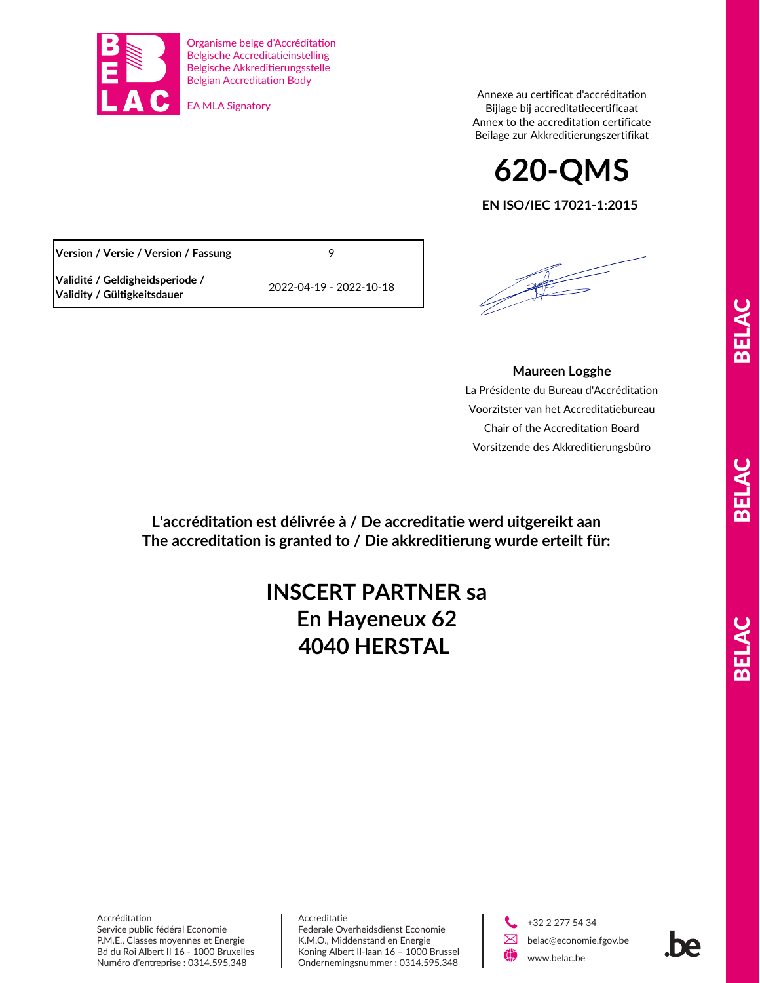

**Validité / Geldigheidsperiode /** 

Organisme belge d'Accréditation Belgische Accreditatieinstelling Belgische Akkreditierungsstelle Belgian Accreditation Body

EA MLA Signatory

**Version / Versie / Version / Fassung** 9

**Validity / Gültigkeitsdauer** 2022-04-19 - 2022-10-18

Annexe au certificat d'accréditation Bijlage bij accreditatiecertificaat Annex to the accreditation certificate Beilage zur Akkreditierungszertifikat

**EN ISO/IEC 17021-1:2015 620-QMS**

## **Maureen Logghe**

La Présidente du Bureau d'Accréditation Voorzitster van het Accreditatiebureau Chair of the Accreditation Board Vorsitzende des Akkreditierungsbüro

**L'accréditation est délivrée à / De accreditatie werd uitgereikt aan The accreditation is granted to / Die akkreditierung wurde erteilt für:**

## **En Hayeneux 62 4040 HERSTAL INSCERT PARTNER sa**

Accréditation Service public fédéral Economie P.M.E., Classes moyennes et Energie Bd du Roi Albert II 16 - 1000 Bruxelles Numéro d'entreprise : 0314.595.348

Accreditatie Federale Overheidsdienst Economie K.M.O., Middenstand en Energie Koning Albert II-laan 16 – 1000 Brussel Ondernemingsnummer : 0314.595.348

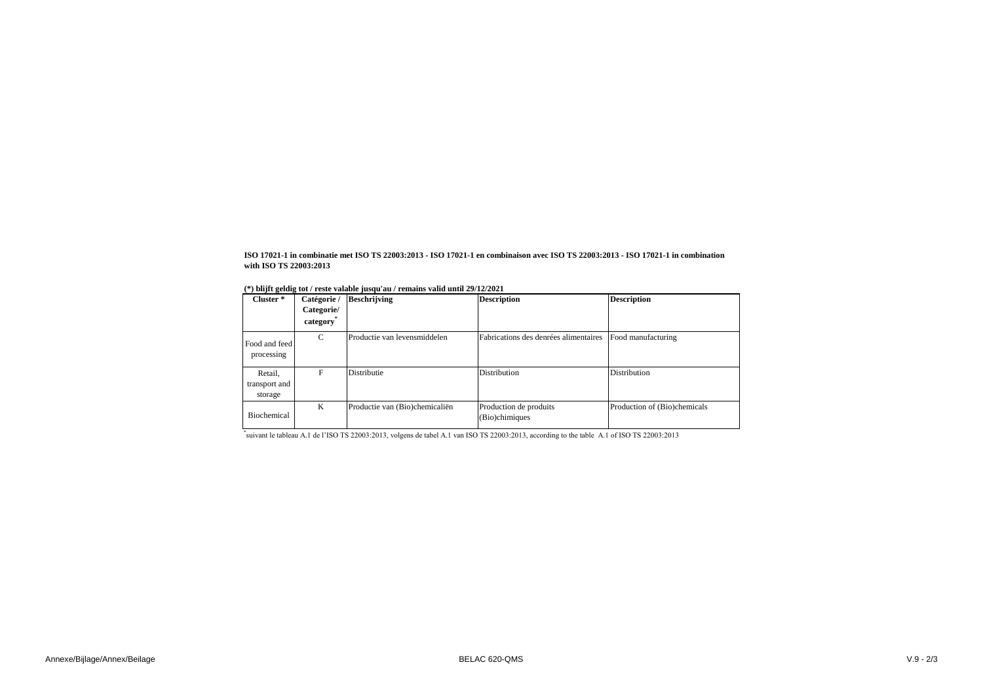| Cluster <sup>*</sup>                | Catégorie /<br>Categorie/<br>category | <b>Beschrijving</b>            | <b>Description</b>                       | <b>Description</b>           |
|-------------------------------------|---------------------------------------|--------------------------------|------------------------------------------|------------------------------|
| Food and feed<br>processing         | $\mathcal{C}$                         | Productie van levensmiddelen   | Fabrications des denrées alimentaires    | Food manufacturing           |
| Retail,<br>transport and<br>storage | F                                     | Distributie                    | Distribution                             | Distribution                 |
| Biochemical                         | K                                     | Productie van (Bio)chemicaliën | Production de produits<br>(Bio)chimiques | Production of (Bio)chemicals |

\* suivant le tableau A.1 de l'ISO TS 22003:2013, volgens de tabel A.1 van ISO TS 22003:2013, according to the table A.1 of ISO TS 22003:2013

**ISO 17021-1 in combinatie met ISO TS 22003:2013 - ISO 17021-1 en combinaison avec ISO TS 22003:2013 - ISO 17021-1 in combination with ISO TS 22003:2013**

|  |  |  |  | (*) blijft geldig tot / reste valable jusqu'au / remains valid until 29/12/2021 |  |
|--|--|--|--|---------------------------------------------------------------------------------|--|
|  |  |  |  |                                                                                 |  |